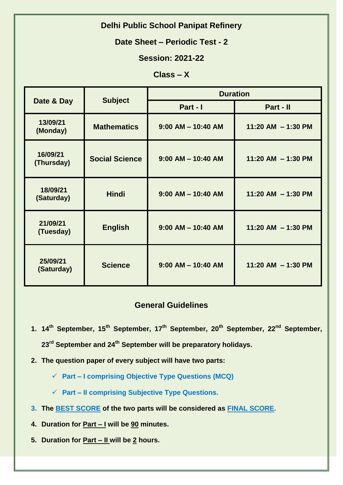# **Delhi Public School Panipat Refinery**

### **Date Sheet – Periodic Test - 2**

## **Session: 2021-22**

### **Class – X**

| Date & Day             | <b>Subject</b>        | <b>Duration</b>        |                      |
|------------------------|-----------------------|------------------------|----------------------|
|                        |                       | Part - I               | Part - II            |
| 13/09/21<br>(Monday)   | <b>Mathematics</b>    | $9:00$ AM $-$ 10:40 AM | 11:20 AM $-$ 1:30 PM |
| 16/09/21<br>(Thursday) | <b>Social Science</b> | $9:00$ AM $-$ 10:40 AM | 11:20 AM $-$ 1:30 PM |
| 18/09/21<br>(Saturday) | <b>Hindi</b>          | $9:00$ AM $-$ 10:40 AM | 11:20 AM $-$ 1:30 PM |
| 21/09/21<br>(Tuesday)  | <b>English</b>        | $9:00$ AM $-$ 10:40 AM | 11:20 AM $-$ 1:30 PM |
| 25/09/21<br>(Saturday) | <b>Science</b>        | $9:00$ AM $-$ 10:40 AM | 11:20 AM $-$ 1:30 PM |

### **General Guidelines**

- **1. 14th September, 15th September, 17th September, 20th September, 22nd September, 23rd September and 24th September will be preparatory holidays.**
- **2. The question paper of every subject will have two parts:**
	- **Part – I comprising Objective Type Questions (MCQ)**
	- **Part – II comprising Subjective Type Questions.**
- **3. The BEST SCORE of the two parts will be considered as FINAL SCORE.**
- **4. Duration for Part – I will be 90 minutes.**
- **5. Duration for Part – II will be 2 hours.**